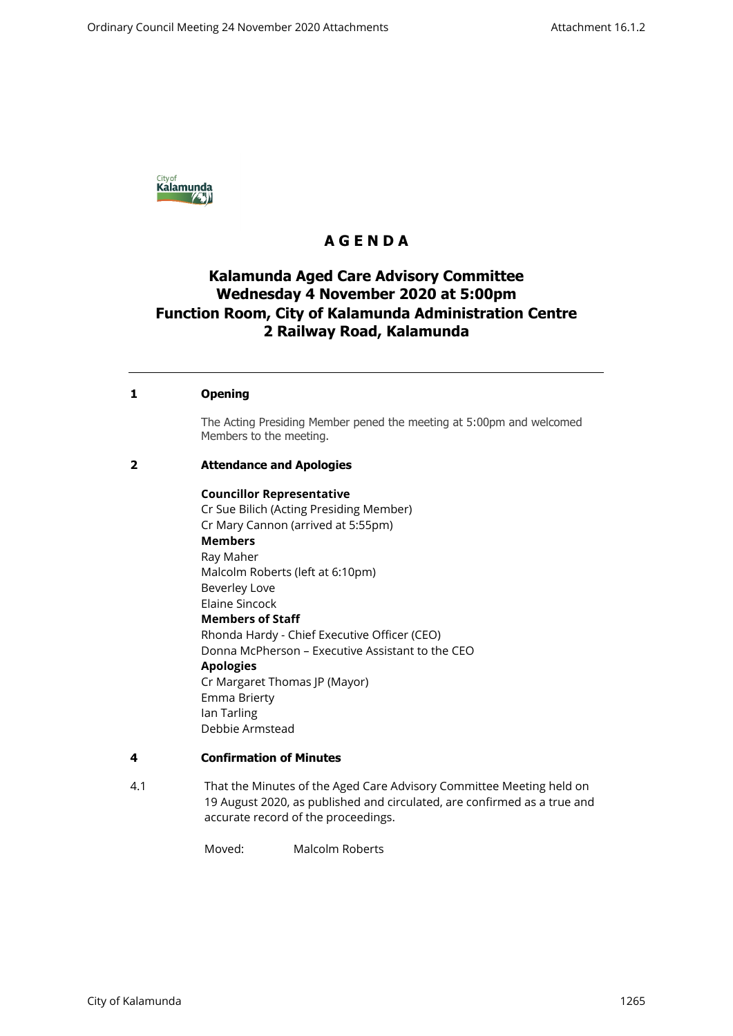

# **A G E N D A**

# **Kalamunda Aged Care Advisory Committee Wednesday 4 November 2020 at 5:00pm Function Room, City of Kalamunda Administration Centre 2 Railway Road, Kalamunda**

## **1 Opening**

The Acting Presiding Member pened the meeting at 5:00pm and welcomed Members to the meeting.

### **2 Attendance and Apologies**

### **Councillor Representative**

Cr Sue Bilich (Acting Presiding Member) Cr Mary Cannon (arrived at 5:55pm) **Members** Ray Maher Malcolm Roberts (left at 6:10pm) Beverley Love Elaine Sincock **Members of Staff** Rhonda Hardy - Chief Executive Officer (CEO) Donna McPherson – Executive Assistant to the CEO **Apologies**  Cr Margaret Thomas JP (Mayor) Emma Brierty Ian Tarling Debbie Armstead

### **4 Confirmation of Minutes**

4.1 That the Minutes of the Aged Care Advisory Committee Meeting held on 19 August 2020, as published and circulated, are confirmed as a true and accurate record of the proceedings.

Moved: Malcolm Roberts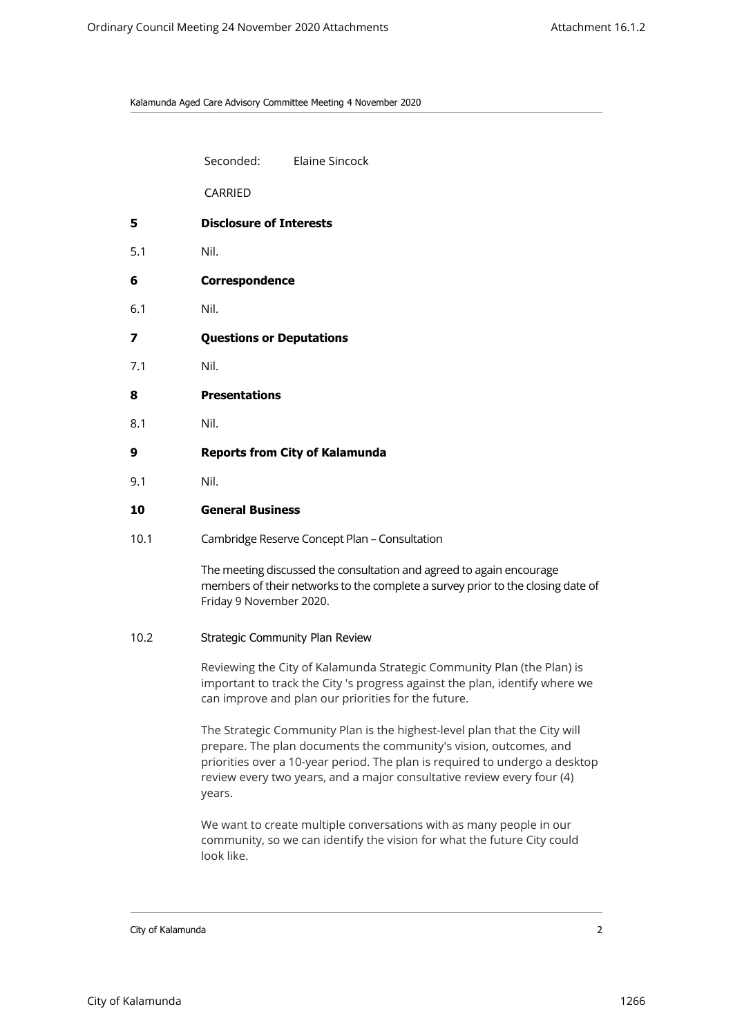Kalamunda Aged Care Advisory Committee Meeting 4 November 2020

Seconded: Elaine Sincock

CARRIED

- **5 Disclosure of Interests**
- 5.1 Nil.
- **6 Correspondence**
- 6.1 Nil.
- **7 Questions or Deputations**
- 7.1 Nil.
- **8 Presentations**
- 8.1 Nil.
- **9 Reports from City of Kalamunda**
- 9.1 Nil.
- **10 General Business**
- 10.1 Cambridge Reserve Concept Plan Consultation

The meeting discussed the consultation and agreed to again encourage members of their networks to the complete a survey prior to the closing date of Friday 9 November 2020.

### 10.2 Strategic Community Plan Review

Reviewing the City of Kalamunda Strategic Community Plan (the Plan) is important to track the City 's progress against the plan, identify where we can improve and plan our priorities for the future.

The Strategic Community Plan is the highest-level plan that the City will prepare. The plan documents the community's vision, outcomes, and priorities over a 10-year period. The plan is required to undergo a desktop review every two years, and a major consultative review every four (4) years.

We want to create multiple conversations with as many people in our community, so we can identify the vision for what the future City could look like.

City of Kalamunda 2